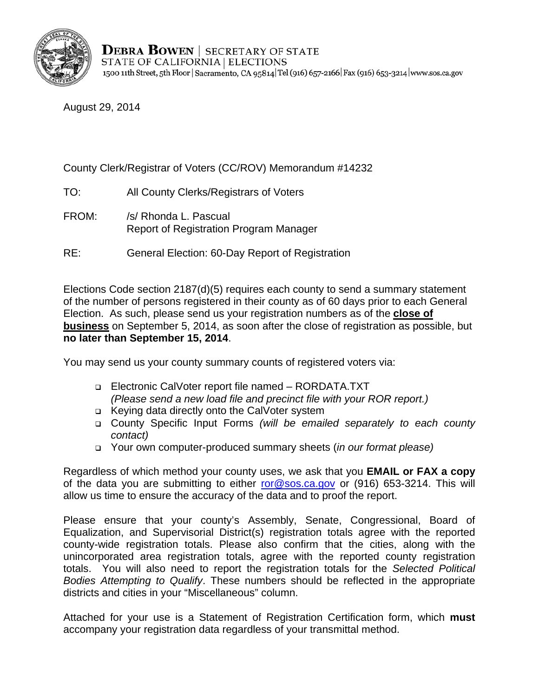

August 29, 2014

### County Clerk/Registrar of Voters (CC/ROV) Memorandum #14232

- TO: All County Clerks/Registrars of Voters
- FROM: /s/ Rhonda L. Pascual Report of Registration Program Manager
- RE: General Election: 60-Day Report of Registration

Elections Code section 2187(d)(5) requires each county to send a summary statement of the number of persons registered in their county as of 60 days prior to each General Election. As such, please send us your registration numbers as of the **close of business** on September 5, 2014, as soon after the close of registration as possible, but **no later than September 15, 2014**.

You may send us your county summary counts of registered voters via:

- Electronic CalVoter report file named RORDATA.TXT *(Please send a new load file and precinct file with your ROR report.)*
- Keying data directly onto the CalVoter system
- County Specific Input Forms *(will be emailed separately to each county contact)*
- Your own computer-produced summary sheets (*in our format please)*

Regardless of which method your county uses, we ask that you **EMAIL or FAX a copy**  of the data you are submitting to either ror@sos.ca.gov or (916) 653-3214. This will allow us time to ensure the accuracy of the data and to proof the report.

Please ensure that your county's Assembly, Senate, Congressional, Board of Equalization, and Supervisorial District(s) registration totals agree with the reported county-wide registration totals. Please also confirm that the cities, along with the unincorporated area registration totals, agree with the reported county registration totals. You will also need to report the registration totals for the *Selected Political Bodies Attempting to Qualify*. These numbers should be reflected in the appropriate districts and cities in your "Miscellaneous" column.

Attached for your use is a Statement of Registration Certification form, which **must**  accompany your registration data regardless of your transmittal method.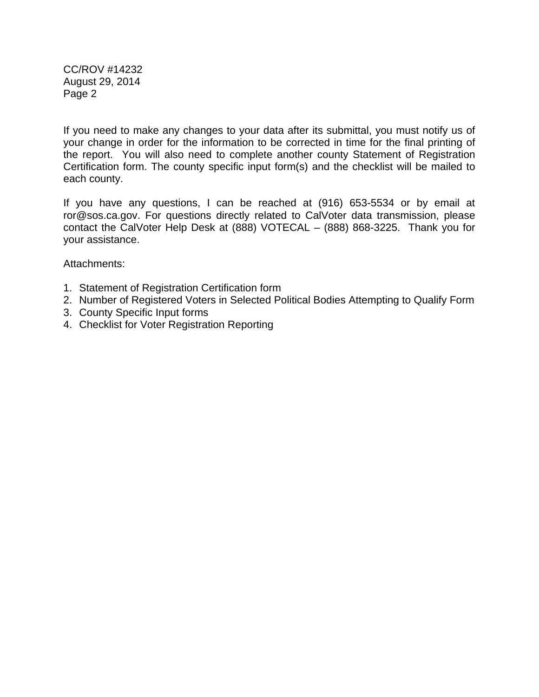CC/ROV #14232 August 29, 2014 Page 2

If you need to make any changes to your data after its submittal, you must notify us of your change in order for the information to be corrected in time for the final printing of the report. You will also need to complete another county Statement of Registration Certification form. The county specific input form(s) and the checklist will be mailed to each county.

If you have any questions, I can be reached at (916) 653-5534 or by email at ror@sos.ca.gov. For questions directly related to CalVoter data transmission, please contact the CalVoter Help Desk at (888) VOTECAL – (888) 868-3225. Thank you for your assistance.

Attachments:

- 1. Statement of Registration Certification form
- 2. Number of Registered Voters in Selected Political Bodies Attempting to Qualify Form
- 3. County Specific Input forms
- 4. Checklist for Voter Registration Reporting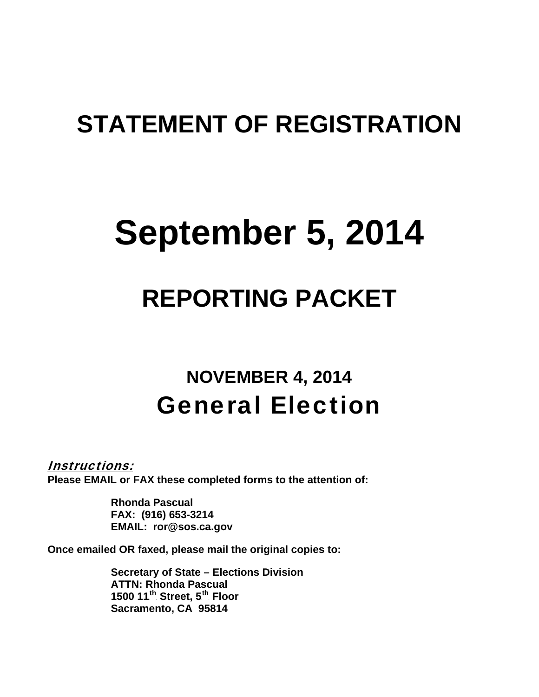# **STATEMENT OF REGISTRATION**

# **September 5, 2014**

# **REPORTING PACKET**

# **NOVEMBER 4, 2014**  General Election

Instructions:

**Please EMAIL or FAX these completed forms to the attention of:** 

**Rhonda Pascual FAX: (916) 653-3214 EMAIL: ror@sos.ca.gov** 

**Once emailed OR faxed, please mail the original copies to:** 

**Secretary of State – Elections Division ATTN: Rhonda Pascual 1500 11<sup>th</sup> Street, 5<sup>th</sup> Floor Sacramento, CA 95814**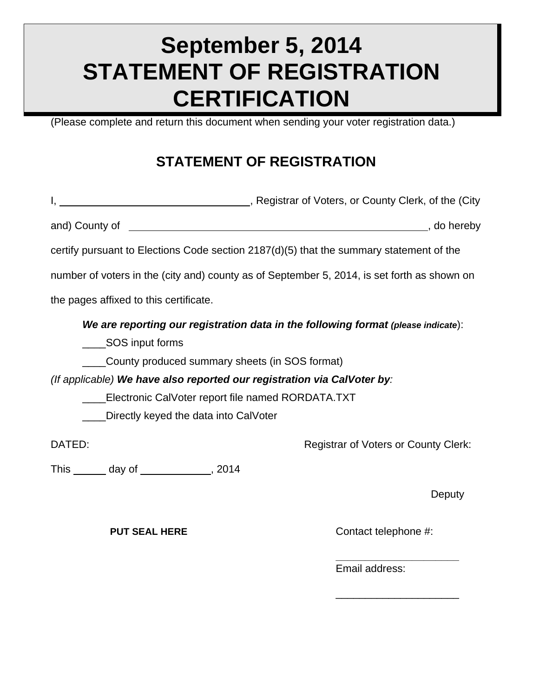# **September 5, 2014 STATEMENT OF REGISTRATION CERTIFICATION**

(Please complete and return this document when sending your voter registration data.)

## **STATEMENT OF REGISTRATION**

|        |                                        |                                                                         | Registrar of Voters, or County Clerk, of the (City, produced), Registrar of Voters, or County Clerk, of the |             |
|--------|----------------------------------------|-------------------------------------------------------------------------|-------------------------------------------------------------------------------------------------------------|-------------|
|        | and) County of ________                |                                                                         |                                                                                                             | , do hereby |
|        |                                        |                                                                         | certify pursuant to Elections Code section 2187(d)(5) that the summary statement of the                     |             |
|        |                                        |                                                                         | number of voters in the (city and) county as of September 5, 2014, is set forth as shown on                 |             |
|        | the pages affixed to this certificate. |                                                                         |                                                                                                             |             |
|        |                                        |                                                                         | We are reporting our registration data in the following format (please indicate):                           |             |
|        | SOS input forms                        |                                                                         |                                                                                                             |             |
|        |                                        | County produced summary sheets (in SOS format)                          |                                                                                                             |             |
|        |                                        | (If applicable) We have also reported our registration via CalVoter by: |                                                                                                             |             |
|        |                                        | Electronic CalVoter report file named RORDATA.TXT                       |                                                                                                             |             |
|        |                                        | Directly keyed the data into CalVoter                                   |                                                                                                             |             |
| DATED: |                                        |                                                                         | <b>Registrar of Voters or County Clerk:</b>                                                                 |             |
| This   | day of                                 | 2014                                                                    |                                                                                                             |             |

 **\_\_\_\_\_\_\_\_\_\_\_\_\_\_\_\_\_\_\_\_\_**

 $\frac{1}{2}$  , and the contract of the contract of the contract of the contract of the contract of the contract of the contract of the contract of the contract of the contract of the contract of the contract of the contract

This  $\_\_\_$  day of  $\_\_\_\_\_$ , 2014

**Deputy** 

**PUT SEAL HERE** Contact telephone #:

**Email address:**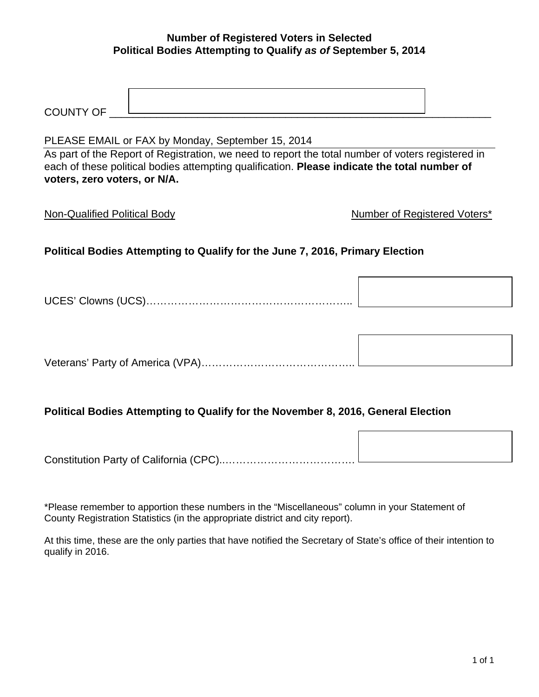#### **Number of Registered Voters in Selected Political Bodies Attempting to Qualify** *as of* **September 5, 2014**

| $\overline{\phantom{0}}$<br>$\sim$<br>INI<br>ີ |  |
|------------------------------------------------|--|

#### PLEASE EMAIL or FAX by Monday, September 15, 2014

As part of the Report of Registration, we need to report the total number of voters registered in each of these political bodies attempting qualification. **Please indicate the total number of voters, zero voters, or N/A.** 

Non-Qualified Political Body Number of Registered Voters\*

### **Political Bodies Attempting to Qualify for the June 7, 2016, Primary Election**

UCES' Clowns (UCS)…………………………………………………..

Veterans' Party of America (VPA)……………………………………..

#### **Political Bodies Attempting to Qualify for the November 8, 2016, General Election**

Constitution Party of California (CPC)..……………………………….

\*Please remember to apportion these numbers in the "Miscellaneous" column in your Statement of County Registration Statistics (in the appropriate district and city report).

At this time, these are the only parties that have notified the Secretary of State's office of their intention to qualify in 2016.